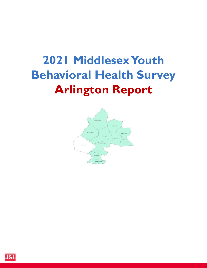# **2021 Middlesex Youth Behavioral Health Survey Arlington Report**



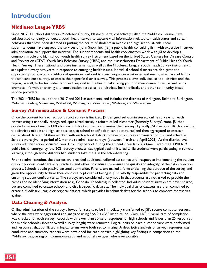# **Introduction**

### **Middlesex League YRBS**

Since 2017, 11 school districts in Middlesex County, Massachusetts, collectively called the Middlesex League, have collaborated to jointly conduct a youth health survey to capture vital information related to health status and certain behaviors that have been deemed as putting the health of students in middle and high school at-risk. Local superintendents have engaged the services of John Snow, Inc. (JSI) a public health consulting firm with expertise in survey administration, to support this initiative. The superintendents and health coordinators work with JSI to develop a common middle and high school youth health survey instrument based on the United States Centers for Disease Control and Prevention (CDC) Youth Risk Behavior Survey (YRBS) and the Massachusetts Department of Public Health's Youth Health Survey. These national and State instruments, as well as the Middlesex League Youth Heath Survey instruments, are updated every two years in response to emerging health issues. Individual school districts are also given the opportunity to incorporate additional questions, tailored to their unique circumstances and needs, which are added to the standard core survey, to create their specific district survey. This process allows individual school districts and the region, overall, to better understand and respond to the health risks facing youth in their communities, as well as to promote information sharing and coordination across school districts, health officials, and other community-based service providers.

The 2021 YRBS builds upon the 2017 and 2019 assessments, and includes the districts of Arlington, Belmont, Burlington, Melrose, Reading, Stoneham, Wakefield, Wilmington, Winchester, Woburn, and Watertown.

### **Survey Administration & Consent Process**

Once the content for each school district survey is finalized, JSI designed self-administered, online surveys for each district using a nationally recognized, specialized survey platform called Alchemer (formerly SurveyGizmo). JSI then created a series of unique URLs for each district to use to administer their survey. Typically, JSI creates a URL for each of the district's middle and high schools, so that school-specific data can be captured and then aggregated to create a district-level dataset. JSI then worked with each school district to develop a survey administration plan and schedule. Schools were given a period of 2 months to administer surveys (between March and April 2021). At the district-level, survey administration occurred over 1 to 3 day period, during the students' regular class time. Given the COVID-19 public health emergency, the 2021 survey process was typically administered while students were participating in remote learning, although some districts had students take the it in the school-setting.

Prior to administration, the districts are provided additional, tailored assistance with respect to implementing the student opt-out process, confidentiality practices, and other procedures to ensure the quality and integrity of the data collection process. Schools obtain passive parental permission. Parents are mailed a form explaining the purpose of the survey and given the opportunity to have their child out "opt out" of taking it. JSI is wholly responsible for protecting data and ensuring student confidentiality. The surveys are considered anonymous in that students are not asked to provide their names and no identifying information (e.g., Geodata, IP address) is collected. Individual student surveys are never shared, but are combined to create school- and district-specific datasets. The individual district datasets are then combined to create a Middlesex League or regional dataset, which provides benchmark data for the schools to compare themselves against.

### **Data Cleaning & Analysis**

Online administration of the survey allowed for results to be immediately transferred to JSI's secure computer servers, where the data were aggregated and analyzed using SAS 9.4 (SAS Institute Inc., Cary, NC). Overall rate of completion was checked for each survey. Records with fewer than 30 valid responses for high schools and fewer than 25 responses for middle schools (shorter overall survey length) were removed. Logical edits on each questionnaire were performed and responses that conflicted in logical terms were both set to missing. A descriptive analysis of survey responses was conducted and summary reports were developed for each district, highlighting key findings in comparison to the Middlesex League region, Commonwealth, and national averages, whenever possible.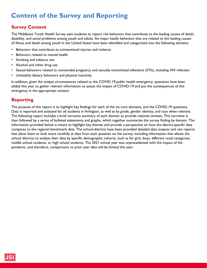# **Content of the Survey and Reporting**

### **Survey Content**

The Middlesex Youth Health Survey asks students to report risk behaviors that contribute to the leading causes of death, disability, and social problems among youth and adults. Six major health behaviors that are related to the leading causes of illness and death among youth in the United States have been identified and categorized into the following domains:

- Behaviors that contribute to unintentional injuries and violence
- Behaviors related to mental health
- Smoking and tobacco use
- Alcohol and other drug use
- Sexual behaviors related to unintended pregnancy and sexually transmitted infections (STIs), including HIV infection
- Unhealthy dietary behaviors and physical inactivity.

In addition, given the unique circumstances related to the COVID-19 public health emergency, questions have been added this year to gather relevant information to assess the impact of COVID-19 and put the consequences of this emergency in the appropriate context.

### **Reporting**

The purpose of this report is to highlight key findings for each of the six core domains, and the COVID-19 questions. Data is reported and analyzed for all students in Arlington, as well as by grade, gender identity, and race when relevant. The following report includes a brief narrative summary of each domain to provide national context. This narrative is then followed by a series of bulleted statements and graphs, which together summarize the survey finding by domain. The information provided below is meant to highlight key themes and provide a perspective on how the district-specific data compares to the regional benchmark data. The school-districts have been provided detailed data outputs and raw reports that allow them to look more carefully at data from each question on the survey, including information that allows the school districts to analyze their data by specific demographic cohorts, such as for girls, boys, different racial categories, middle school students, or high school students. The 2021 school year was unprecedented with the impact of the pandemic, and therefore, comparisons to prior year data will be limited this year.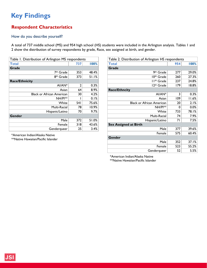# **Respondent Characteristics**

#### How do you describe yourself?

A total of 737 middle school (MS) and 954 high school (HS) students were included in the Arlington analysis. Tables 1 and 2 show the distribution of survey respondents by grade, Race, sex assigned at birth, and gender.

| Table 1. Distribution of Arlington MS respondents |      |       |
|---------------------------------------------------|------|-------|
| Total                                             | 737  | 100%  |
| Grade                                             |      |       |
| 7 <sup>th</sup> Grade                             | 353  | 48.4% |
| 8 <sup>th</sup> Grade                             | 373  | 51.1% |
| <b>Race/Ethnicity</b>                             |      |       |
| Al/AN*                                            | 2    | 0.3%  |
| Asian                                             | 64   | 8.9%  |
| <b>Black or African American</b>                  | 30   | 4.2%  |
| $NH/P**$                                          |      | 0.1%  |
| White                                             | 54 I | 75.6% |
| Multi-Racial                                      | 78   | 10.9% |
| Hispanic/Latino                                   | 70   | 9.7%  |
| Gender                                            |      |       |
| Male                                              | 372  | 51.0% |
| Female                                            | 318  | 43.6% |
| Genderqueer                                       | 25   | 3.4%  |

\*American Indian/Alaska Native

\*\*Native Hawaiian/Pacific Islander

| Table 2. Distribution of Arlington HS respondents |     |       |  |
|---------------------------------------------------|-----|-------|--|
|                                                   | 954 |       |  |
| <b>Total</b>                                      |     | 100%  |  |
| Grade                                             |     |       |  |
| 9 <sup>th</sup> Grade                             | 277 | 29.0% |  |
| 10 <sup>th</sup> Grade                            | 260 | 27.3% |  |
| I I <sup>th</sup> Grade                           | 237 | 24.8% |  |
| 12 <sup>th</sup> Grade                            | 179 | 18.8% |  |
| <b>Race/Ethncity</b>                              |     |       |  |
| AI/AN*                                            | 3   | 0.3%  |  |
| Asian                                             | 109 | 11.6% |  |
| <b>Black or African American</b>                  | 20  | 2.1%  |  |
| NH/PI**                                           | 0   | 0.0%  |  |
| White                                             | 733 | 78.1% |  |
| Multi-Racial                                      | 74  | 7.9%  |  |
| Hispanic/Latino                                   | 71  | 7.5%  |  |
| <b>Sex Assigned at Birth</b>                      |     |       |  |
| Male                                              | 377 | 39.6% |  |
| Female                                            | 575 | 60.4% |  |
| Gender                                            |     |       |  |
| Male                                              | 352 | 37.1% |  |
| Female                                            | 523 | 55.2% |  |
| Genderqueer                                       | 52  | 5.5%  |  |

\*American Indian/Alaska Native

\*\*Native Hawaiian/Pacific Islander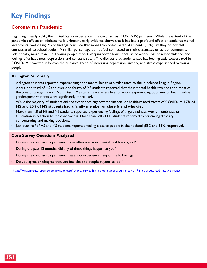### **Coronavirus Pandemic**

Beginning in early 2020, the United States experienced the coronavirus (COVID-19) pandemic. While the extent of the pandemic's effects on adolescents is unknown, early evidence shows that it has had a profound effect on student's mental and physical well-being. Major findings conclude that more than one-quarter of students (29%) say they do not feel connect at all to school adults.<sup>1</sup> A similar percentage do not feel connected to their classmates or school community. Additionally, more than 1 in 4 young people report sleeping fewer hours because of worry, loss of self-confidence, and feelings of unhappiness, depression, and constant strain. The distress that students face has been greatly exacerbated by COVID-19, however, it follows the historical trend of increasing depression, anxiety, and stress experienced by young people.

#### **Arlington Summary**

- Arlington students reported experiencing poor mental health at similar rates to the Middlesex League Region.
- About one-third of HS and over one-fourth of MS students reported that their mental health was not good most of the time or always. Black HS and Asian MS students were less like to report experiencing poor mental health, while genderqueer students were significantly more likely.
- While the majority of students did not experience any adverse financial or health-related affects of COVID-19, **17% of HS and 20% of MS students had a family member or close friend who died**.
- More than half of HS and MS students reported experiencing feelings of anger, sadness, worry, numbness, or frustration in reaction to the coronavirus. More than half of HS students reported experiencing difficulty concentrating and making decisions.
- Just over half of HS and MS students reported feeling close to people in their school (55% and 53%, respectively).

#### **Core Survey Questions Analyzed**

- During the coronavirus pandemic, how often was your mental health not good?
- During the past 12 months, did any of these things happen to you?
- During the coronavirus pandemic, have you experienced any of the following?
- Do you agree or disagree that you feel close to people at your school?

1<https://www.americaspromise.org/press-release/national-survey-high-school-students-during-covid-19-finds-widespread-negative-impact>

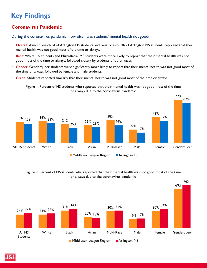### **Coronavirus Pandemic**

#### During the coronavirus pandemic, how often was students' mental health not good?

- Overall: Almost one-third of Arlington HS students and over one-fourth of Arlington MS students reported that their mental health was not good most of the time or always.
- Race: White HS students and Multi-Racial MS students were more likely to report that their mental health was not good most of the time or always, followed closely by students of other races.
- Gender: Genderqueer students were significantly more likely to report that their mental health was not good most of the time or always followed by female and male students.
- Grade: Students reported similarly that their mental health was not good most of the time or always.



72%

76%



Figure 2. Percent of MS students who reported that their mental health was not good most of the time or always due to the coronavirus pandemic

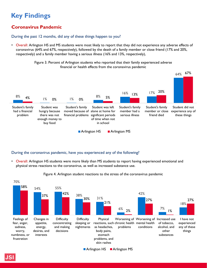### **Coronavirus Pandemic**

#### During the past 12 months, did any of these things happen to you?

• Overall: Arlington HS and MS students were most likely to report that they did not experience any adverse effects of coronavirus (64% and 67%, respectively), followed by the death of a family member or close friend (17% and 20%, respectively) and a family member having a serious illness (16% and 13%, respectively),

> Figure 3. Percent of Arlington students who reported that their family experienced adverse financial or health effects from the coronavirus pandemic



#### During the coronavirus pandemic, have you experienced any of the following?

• Overall: Arlington HS students were more likely than MS students to report having experienced emotional and physical stress reactions to the coronavirus, as well as increased substance use.



Figure 4. Arlington student reactions to the stress of the coronavirus pandemic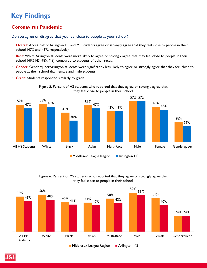### **Coronavirus Pandemic**

Do you agree or disagree that you feel close to people at your school?

- Overall: About half of Arlington HS and MS students agree or strongly agree that they feel close to people in their school (47% and 46%, respectively).
- Race: White Arlington students were more likely to agree or strongly agree that they feel close to people in their school (49% HS, 48% MS), compared to students of other races.
- Gender: GenderqueerArlington students were significantly less likely to agree or strongly agree that they feel close to people at their school than female and male students.
- Grade: Students responded similarly by grade.





#### Figure 6. Percent of MS students who reported that they agree or strongly agree that they feel close to people in their school

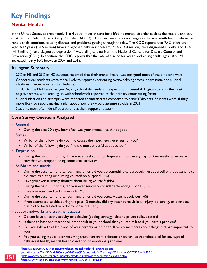### **Mental Health**

In the United States, approximately 1 in 4 youth meet criteria for a lifetime mental disorder such as depression, anxiety, or Attention Deficit Hyperactivity Disorder (ADHD).<sup>1</sup> This can cause serious changes in the way youth learn, behave, or handle their emotions, causing distress and problems getting through the day. The CDC reports that 7.4% of children aged 3-17 years (~4.5 million) have a diagnosed behavior problem, 7.1% (~4.4 million) have diagnosed anxiety, and 3.2% (~1.9 million) have diagnosed depression.2 According to data from the National Centers for Disease Control and Prevention (CDC). In addition, the CDC reports that the rate of suicide for youth and young adults ages 10 to 24 increased nearly 60% between 2007 and 2018.3

#### **Arlington Summary**

- 27% of HS and 23% of MS students reported that their mental health was not good most of the time or always.
- Genderqueer students were more likely to report experiencing overwhelming stress, depression, and suicidal ideations than male or female students.
- Similar to the Middlesex League Region, school demands and expectations caused Arlington students the most negative stress, with keeping up with schoolwork reported as the primary contributing factor.
- Suicidal ideation and attempts were reported at similar rates compared to prior YRBS data. Students were slightly more likely to report making a plan about how they would attempt suicide in 2021.
- Students most often identified a parent as their support network.

#### **Core Survey Questions Analyzed**

- General
	- During the past 30 days, how often was your mental health not good?
- Stress
	- Which of the following do you find causes the most negative stress for you?
	- Which of the following do you find the most stressful about school?
- Depression
	- During the past 12 months, did you ever feel so sad or hopeless almost every day for two weeks or more in a row that you stopped doing some usual activities?
- Self-harm and suicide
	- During the past 12 months, how many times did you do something to purposely hurt yourself without wanting to die, such as cutting or burning yourself on purpose? (HS)
	- Have you ever seriously thought about killing yourself? (MS)
	- During the past 12 months, did you ever seriously consider attempting suicide? (HS)
	- Have you ever tried to kill yourself? (MS)
	- During the past 12 months, how many times did you actually attempt suicide? (HS)
	- If you attempted suicide during the past 12 months, did any attempt result in an injury, poisoning, or overdose that had to be treated by a doctor or nurse? (HS)
- Support networks and treatment access
	- Do you have a healthy activity or behavior (coping strategy) that helps you relieve stress?
	- Is there at least one teacher or other adult in your school that you can talk to if you have a problem?
	- Can you talk with at least one of your parents or other adult family members about things that are important to you?
	- Are you taking medicine or receiving treatment from a doctor or other health professional for any type of behavioral health, mental health condition or emotional problem?

- [youth#:~:text=Click%20to%20Enlarge%20Most%20youth,with%20anxiety%20disorders%2C%20and%209.6](https://www.cdc.gov/childrensmentalhealth/features/anxiety-depression-children.html)
- 2<https://www.cdc.gov/childrensmentalhealth/features/anxiety-depression-children.html>

3<https://www.cdc.gov/nchs/data/nvsr/nvsr69/NVSR-69-11-508.pdf>

<sup>1</sup> https://youth.gov/youth-topics/prevalence-mental-health-disorders-among-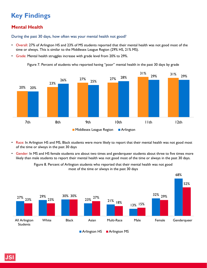### **Mental Health**

During the past 30 days, how often was your mental health not good?

- Overall: 27% of Arlington HS and 23% of MS students reported that their mental health was not good most of the time or always. This is similar to the Middlesex League Region (29% HS, 21% MS).
- Grade: Mental health struggles increase with grade level from 20% to 29%.

Figure 7. Percent of students who reported having "poor" mental health in the past 30 days by grade



- Race: In Arlington HS and MS, Black students were more likely to report that their mental health was not good most of the time or always in the past 30 days
- Gender: In MS and HS female students are about two times and genderqueer students about three to five times more likely than male students to report their mental health was not good most of the time or always in the past 30 days.



Figure 8. Percent of Arlington students who reported that their mental health was not good most of the time or always in the past 30 days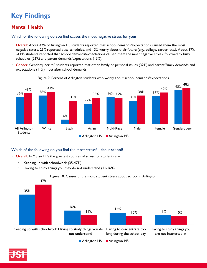# **Mental Health**

Which of the following do you find causes the most negative stress for you?

- Overall: About 42% of Arlington HS students reported that school demands/expectations caused them the most negative stress, 25% reported busy schedules, and 13% worry about their future (e.g., college, career, etc.). About 37% of MS students reported that school demands/expectations caused them the most negative stress, followed by busy schedules (26%) and parent demands/expectations (13%).
- Gender: Genderqueer MS students reported that other family or personal issues (32%) and parent/family demands and expectations (11%) most after school demands.



Figure 9. Percent of Arlington students who worry about school demands/expectations

#### Which of the following do you find the most stressful about school?

- Overall: In MS and HS the greatest sources of stress for students are:
	- Keeping up with schoolwork (35-47%)
	- Having to study things you they do not understand (11-16%)



**Arlington HS Arlington MS** 

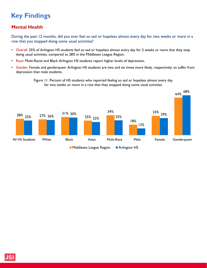### **Mental Health**

During the past 12 months, did you ever feel so sad or hopeless almost every day for two weeks or more in a row that you stopped doing some usual activities?

- Overall: 25% of Arlington HS students feel so sad or hopeless almost every day for 2 weeks or more that they stop doing usual activities, compared to 28% in the Middlesex League Region.
- Race: Multi-Racial and Black Arlington HS students report higher levels of depression.
- Gender: Female and genderqueer Arlington HS students are two and six times more likely, respectively, to suffer from depression than male students.



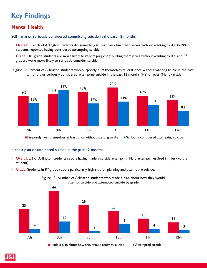### **Mental Health**

Self-harm or seriously considered committing suicide in the past 12 months.

- Overall: 13-20% of Arlington students did something to purposely hurt themselves without wanting to die. 8-19% of students reported having considered attempting suicide.
- Grade: 10<sup>th</sup> grade students are more likely to report purposely hurting themselves without wanting to die, and 8<sup>th</sup> graders were more likely to seriously consider suicide.

Figure 12. Percent of Arlington students who purposely hurt themselves at least once without wanting to die in the past 12 months or seriously considered attempting suicide in the past 12 months (HS) or ever (MS) by grade



**Purposely hurt themselves at least once without wanting to die Seriously considered attempting suicide** 

#### Made a plan or attempted suicide in the past 12 months.

- Overall: 2% of Arlington students report having made a suicide attempt (in HS 5 attempts resulted in injury to the student).
- Grade: Students in 8<sup>th</sup> grade report particularly high risk for planning and attempting suicide.



Figure 13. Number of Arlington students who made a plan about how they would attempt suicide and attempted suicide by grade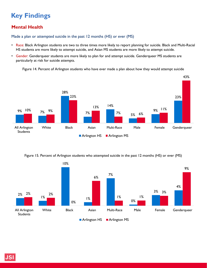### **Mental Health**

Made a plan or attempted suicide in the past 12 months (HS) or ever (MS)

- Race: Black Arlington students are two to three times more likely to report planning for suicide. Black and Multi-Racial HS students are more likely to attempt suicide, and Asian MS students are more likely to attempt suicide.
- Gender: Genderqueer students are more likely to plan for and attempt suicide. Genderqueer MS students are particularly at risk for suicide attempts.

Figure 14. Percent of Arlington students who have ever made a plan about how they would attempt suicide



Figure 15. Percent of Arlington students who attempted suicide in the past 12 months (HS) or ever (MS)

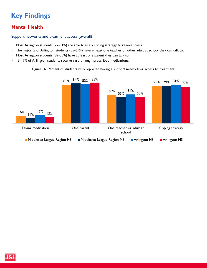### **Mental Health**

#### Support networks and treatment access (overall)

- Most Arlington students (77-81%) are able to use a coping strategy to relieve stress.
- The majority of Arlington students (55-61%) have at least one teacher or other adult at school they can talk to.
- Most Arlington students (82-85%) have at least one parent they can talk to.
- 13-17% of Arlington students receive care through prescribed medications.

Figure 16. Percent of students who reported having a support network or access to treatment

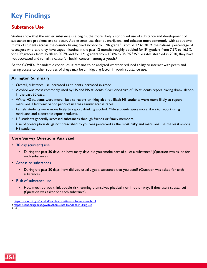### **Substance Use**

Studies show that the earlier substance use begins, the more likely a continued use of substance and development of substance use problems are to occur. Adolescents use alcohol, marijuana, and tobacco most commonly with about twothirds of students across the country having tried alcohol by 12th grade.<sup>1</sup> From 2017 to 2019, the national percentage of teenagers who said they have vaped nicotine in the past 12 months roughly doubled for  $8<sup>th</sup>$  graders from 7.5% to 16.5%, for  $10$ <sup>th</sup> graders from 15.8% to 30.7% and for  $12$ <sup>th</sup> graders from 18.8% to 35.3%.<sup>2</sup> While rates steadied in 2020, they have not decreased and remain a cause for health concern amongst youth.<sup>3</sup>

As the COVID-19 pandemic continues, it remains to be analyzed whether reduced ability to interact with peers and having access to other sources of drugs may be a mitigating factor in youth substance use.

#### **Arlington Summary**

- Overall, substance use increased as students increased in grade.
- Alcohol was most commonly used by HS and MS students. Over one-third of HS students report having drank alcohol in the past 30 days.
- White HS students were more likely to report drinking alcohol. Black HS students were more likely to report marijuana. Electronic vapor product use was similar across races.
- Female students were more likely to report drinking alcohol. Male students were more likely to report using marijuana and electronic vapor products.
- HS students generally accessed substances through friends or family members.
- Use of prescription drugs not prescribed to you was perceived as the most risky and marijuana use the least among HS students.

#### **Core Survey Questions Analyzed**

- 30 day (current) use
	- During the past 30 days, on how many days did you smoke part of all of a substance? (Question was asked for each substance)
- Access to substances
	- During the past 30 days, how did you usually get a substance that you used? (Question was asked for each substance)
- Risk of substance use
	- How much do you think people risk harming themselves physically or in other ways if they use a substance? (Question was asked for each substance)

3 Ibid.

<sup>1</sup> <https://www.cdc.gov/ncbddd/fasd/features/teen-substance-use.html>

<sup>2</sup> <https://teens.drugabuse.gov/teachers/stats-trends-teen-drug-use>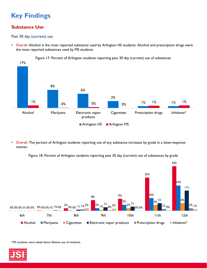### **Substance Use**

#### Past 30 day (current) use

• Overall: Alcohol is the most reported substance used by Arlington HS students. Alcohol and prescription drugs were the most reported substances used by MS students.



• Overall: The percent of Arlington students reporting use of any substance increases by grade in a dose-response manner.

Figure 18. Percent of Arlington students reporting past 30 day (current) use of substances by grade



\*MS students were asked about lifetime use of inhalants.

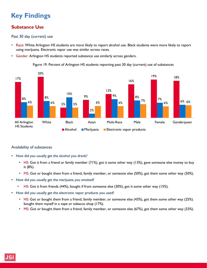### **Substance Use**

#### Past 30 day (current) use

- Race: White Arlington HS students are more likely to report alcohol use. Black students were more likely to report using marijuana. Electronic vapor use was similar across races.
- Gender: Arlington HS students reported substance use similarly across genders.

Figure 19. Percent of Arlington HS students reporting past 30 day (current) use of substances



#### Availability of substances

- How did you usually get the alcohol you drank?
	- HS: Got it from a friend or family member  $(71\%)$ , got it some other way  $(13\%)$ , gave someone else money to buy it (8%).
	- MS: Got or bought them from a friend, family member, or someone else (50%), got them some other way (50%).
- How did you usually get the marijuana you smoked?
	- HS: Got it from friends (44%), bought if from someone else (30%), got it some other way (15%).
- How did you usually get the electronic vapor products you used?
	- HS: Got or bought them from a friend, family member, or someone else (43%), got them some other way (25%). bought them myself in a vape or tobacco shop (17%).
	- MS: Got or bought them from a friend, family member, or someone else (67%), got them some other way (33%).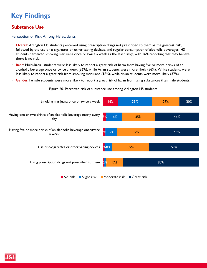### **Substance Use**

#### Perception of Risk Among HS students

- Overall: Arlington HS students perceived using prescription drugs not prescribed to them as the greatest risk, followed by the use or e-cigarettes or other vaping devices, and regular consumption of alcoholic beverages. HS students perceived smoking marijuana once or twice a week as the least risky, with 16% reporting that they believe there is no risk.
- Race: Multi-Racial students were less likely to report a great risk of harm from having five or more drinks of an alcoholic beverage once or twice a week (36%), while Asian students were more likely (56%). White students were less likely to report a great risk from smoking marijuana (18%), while Asian students were more likely (37%).
- Gender: Female students were more likely to report a great risk of harm from using substances than male students.

Figure 20. Perceived risk of substance use among Arlington HS students

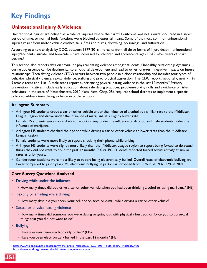### **Unintentional Injury & Violence**

Unintentional injuries are defined as accidental injuries where the harmful outcome was not sought, occurred in a short period of time, or normal body functions were blocked by external means. Some of the most common unintentional injuries result from motor vehicle crashes, falls, fires and burns, drowning, poisonings, and suffocation.

According to a new analysis by CDC, between 1999-2016, mortality from all three forms of injury death – unintentional injury/accidents, suicide, and homicide – have increased for children and adolescents ages 10-19, after years of sharp decline.<sup>1</sup>

This section also reports data on sexual or physical dating violence amongst students. Unhealthy relationship dynamics during adolescence can be detrimental to emotional development and lead to other long-term negative impacts on future relationships. Teen dating violence (TDV) occurs between two people in a close relationship and includes four types of behavior; physical violence, sexual violence, stalking and psychological aggression. The CDC reports nationally, nearly 1 in 9 female teens and 1 in 13 male teens report experiencing physical dating violence in the last 12 months.<sup>2</sup> Primary prevention initiatives include early education about safe dating practices, problem-solving skills and avoidance of risky behaviors. In the state of Massachusetts, 2010 Mass. Acts, Chap. 256 requires school districts to implement a specific policy to address teen dating violence in public schools.

#### **Arlington Summary**

- Arlington HS students drove a car or other vehicle under the influence of alcohol at a similar rate to the Middlesex League Region and drove under the influence of marijuana at a slightly lower rate.
- Female HS students were more likely to report driving under the influence of alcohol, and male students under the influence of marijuana.
- Arlington HS students checked their phone while driving a car or other vehicle at lower rates than the Middlesex League Region.
- Female students were more likely to report checking their phone while driving.
- Arlington HS students were slightly more likely than the Middlesex League region to report being forced to do sexual things they did not want to do in the past 12 months (5% vs 4%). Students reported forced sexual activity at similar rates as prior years.
- Genderqueer students were most likely to report being electronically bullied. Overall rates of electronic bullying are lower compared to prior years. MS electronic bullying, in particular, dropped from 30% in 2019 to 12% in 2021.

#### **Core Survey Questions Analyzed**

- Driving while under the influence
	- How many times did you drive a car or other vehicle when you had been drinking alcohol or using marijuana? (HS)
- Texting or emailing while driving
	- How many days did you check your cell phone, text, or e-mail while driving a car or other vehicle?
- Sexual or physical dating violence
	- How many times did someone you were dating or going out with physically hurt you or force you to do sexual things that you did not want to do?
- Bullying
	- Have you ever been electronically bullied? (MS)
	- Have you been electronically bullied in the past 12 months? (HS)

<sup>&</sup>lt;sup>1</sup> [https://www.cdc.gov/nchs/pressroom/nchs\\_press\\_releases/2018/201806\\_Youth\\_Injury\\_Mortality.htm](https://www.cdc.gov/nchs/pressroom/nchs_press_releases/2018/201806_Youth_Injury_Mortality.htm)

<sup>2</sup> <https://www.ncsl.org/research/health/teen-dating-violence.aspx>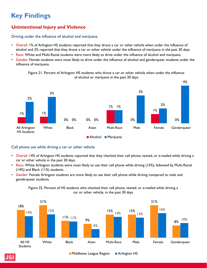### **Unintentional Injury and Violence**

#### Driving under the influence of alcohol and marijuana

- Overall: 1% of Arlington HS students reported that they drove a car or other vehicle when under the influence of alcohol and 2% reported that they drove a car or other vehicle under the influence of marijuana in the past 30 days.
- Race: White and Multi-Racial students were more likely to drive under the influence of alcohol and marijuana.
- Gender: Female students were most likely to drive under the influence of alcohol and genderqueer students under the influence of marijuana.

Figure 21. Percent of Arlington HS students who drove a car or other vehicle when under the influence of alcohol or marijuana in the past 30 days



#### Cell phone use while driving a car or other vehicle

- Overall: 14% of Arlington HS students reported that they checked their cell phone, texted, or e-mailed while driving a car or other vehicle in the past 30 days.
- Race: White Arlington students were most likely to use their cell phone while driving (15%), followed by Multi-Racial (14%) and Black (11%) students.
- Gender: Female Arlington students are more likely to use their cell phone while driving compared to male and genderqueer students.



Figure 22. Percent of HS students who checked their cell phone, texted, or e-mailed while driving a car or other vehicle, in the past 30 days

Middlesex League Region Arlington HS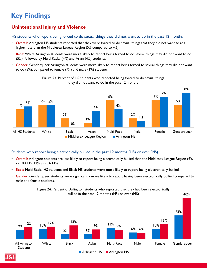### **Unintentional Injury and Violence**

HS students who report being forced to do sexual things they did not want to do in the past 12 months

- Overall: Arlington HS students reported that they were forced to do sexual things that they did not want to at a higher rate than the Middlesex League Region (5% compared to 4%).
- Race: White Arlington students were more likely to report being forced to do sexual things they did not want to do (5%), followed by Multi-Racial (4%) and Asian (4%) students.
- Gender: Genderqueer Arlington students were more likely to report being forced to sexual things they did not want to do (8%), compared to female (7%) and male (1%) students.



Figure 23. Percent of HS students who reported being forced to do sexual things they did not want to do in the past 12 months

#### Students who report being electronically bullied in the past 12 months (HS) or ever (MS)

- Overall: Arlington students are less likely to report being electronically bullied than the Middlesex League Region (9% vs 10% HS, 12% vs 20% MS).
- Race: Multi-Racial HS students and Black MS students were more likely to report being electronically bullied.
- Gender: Genderqueer students were significantly more likely to report having been electronically bullied compared to male and female students.

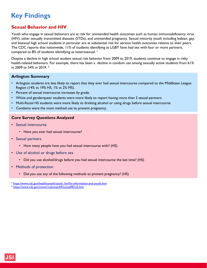### **Sexual Behavior and HIV**

Youth who engage in sexual behaviors are at risk for unintended health outcomes such as human immunodeficiency virus (HIV), other sexually transmitted diseases (STDs), and unintended pregnancy. Sexual minority youth including lesbian, gay, and bisexual high school students in particular are at substantial risk for serious health outcomes relative to their peers. The CDC reports that nationwide, 11% of students identifying as LGBT have had sex with four or more partners, compared to 8% of students identifying as heterosexual. <sup>1</sup>

Despite a decline in high school student sexual risk behavior from 2009 to 2019, students continue to engage in risky health-related behaviors. For example, there has been a decline in condom use among sexually active students from 61% in 2009 to 54% in 2019. 2

#### **Arlington Summary**

- Arlington students are less likely to report that they ever had sexual intercourse compared to the Middlesex League Region (14% vs 19% HS, 1% vs 2% MS).
- Percent of sexual intercourse increases by grade.
- White and genderqueer students were more likely to report having more than 2 sexual partners.
- Multi-Racial HS students were more likely to drinking alcohol or using drugs before sexual intercourse.
- Condoms were the most method use to prevent pregnancy.

#### **Core Survey Questions Analyzed**

- Sexual intercourse
	- Have you ever had sexual intercourse?
- Sexual partners
	- How many people have you had sexual intercourse with? (HS)
- Use of alcohol or drugs before sex
	- Did you use alcohol/drugs before you had sexual intercourse the last time? (HS)
- Methods of protection
	- Did you use any of the following methods to prevent pregnancy? (HS)

<sup>1</sup> [https://www.cdc.gov/healthyyouth/youth\\_hiv/hiv-information-and-youth.htm](https://www.cdc.gov/healthyyouth/youth_hiv/hiv-information-and-youth.htm)

<sup>2</sup> <https://www.cdc.gov/mmwr/volumes/69/su/su6901a2.htm>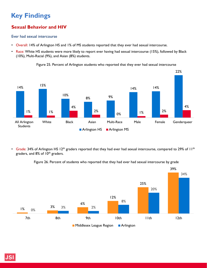### **Sexual Behavior and HIV**

#### Ever had sexual intercourse

- Overall: 14% of Arlington HS and 1% of MS students reported that they ever had sexual intercourse.
- Race: White HS students were more likely to report ever having had sexual intercourse (15%), followed by Black (10%), Multi-Racial (9%), and Asian (8%) students.



Figure 25. Percent of Arlington students who reported that they ever had sexual intercourse

• Grade: 34% of Arlington HS 12<sup>th</sup> graders reported that they had ever had sexual intercourse, compared to 29% of 11<sup>th</sup> graders, and 8% of 10<sup>th</sup> graders.

Figure 26. Percent of students who reported that they had ever had sexual intercourse by grade

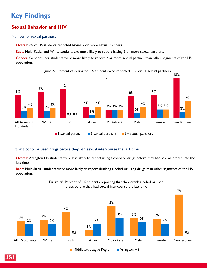### **Sexual Behavior and HIV**

#### Number of sexual partners

- Overall: 7% of HS students reported having 2 or more sexual partners.
- Race: Multi-Racial and White students are more likely to report having 2 or more sexual partners.
- Gender: Genderqueer students were more likely to report 2 or more sexual partner than other segments of the HS population.



Figure 27. Percent of Arlington HS students who reported 1, 2, or 3+ sexual partners

#### Drank alcohol or used drugs before they had sexual intercourse the last time

- Overall: Arlington HS students were less likely to report using alcohol or drugs before they had sexual intercourse the last time.
- Race: Multi-Racial students were more likely to report drinking alcohol or using drugs than other segments of the HS population.

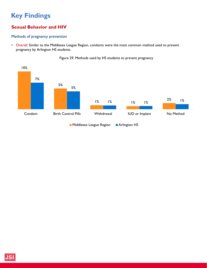### **Sexual Behavior and HIV**

#### Methods of pregnancy prevention

• Overall: Similar to the Middlesex League Region, condoms were the most common method used to prevent pregnancy by Arlington HS students.



Figure 29. Methods used by HS students to prevent pregnancy

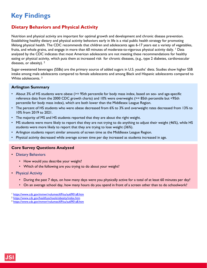### **Dietary Behaviors and Physical Activity**

Nutrition and physical activity are important for optimal growth and development and chronic disease prevention. Establishing healthy dietary and physical activity behaviors early in life is a vital public health strategy for promoting lifelong physical health. The CDC recommends that children and adolescents ages 6-17 years eat a variety of vegetables, fruits, and whole grains, and engage in more than 60 minutes of moderate-to-vigorous physical activity daily. <sup>1</sup> Data analyzed by the CDC indicates that most American adolescents are not meeting these recommendations for healthy eating or physical activity, which puts them at increased risk for chronic diseases, (e.g., type 2 diabetes, cardiovascular diseases, or obesity). <sup>2</sup>

Sugar-sweetened beverages (SSBs) are the primary source of added sugars in U.S. youths' diets. Studies show higher SSB intake among male adolescents compared to female adolescents and among Black and Hispanic adolescents compared to White adolescents. 3

#### **Arlington Summary**

- About 3% of HS students were obese (>= 95th percentile for body mass index, based on sex- and age-specific reference data from the 2000 CDC growth charts) and 10% were overweight (>= 85th percentile but <95th percentile for body mass index), which are both lower than the Middlesex League Region.
- The percent of HS students who were obese decreased from 6% to 3% and overweight rates decreased from 13% to 10% from 2019 to 2021.
- The majority of MS and HS students reported that they are about the right weight.
- MS students were more likely to report that they are not trying to do anything to adjust their weight (46%), while HS students were more likely to report that they are trying to lose weight (36%).
- Arlington students report similar amounts of screen time as the Middlesex League Region.
- Physical activity decreased while average screen time per day increased as students increased in age.

#### **Core Survey Questions Analyzed**

- Dietary Behaviors
	- How would you describe your weight?
	- Which of the following are you trying to do about your weight?
- Physical Activity
	- During the past 7 days, on how many days were you physically active for a total of at least 60 minutes per day?
	- On an average school day, how many hours do you spend in front of a screen other than to do schoolwork?

<sup>1</sup> <https://www.cdc.gov/mmwr/volumes/69/su/su6901a8.htm>

<sup>2</sup> <https://www.cdc.gov/healthyschools/obesity/index.htm>

<sup>3</sup> <https://www.cdc.gov/mmwr/volumes/69/su/su6901a8.htm>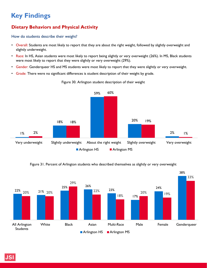# **Dietary Behaviors and Physical Activity**

How do students describe their weight?

- Overall: Students are most likely to report that they are about the right weight, followed by slightly overweight and slightly underweight.
- Race: In HS, Asian students were most likely to report being slightly or very overweight (26%). In MS, Black students were most likely to report that they were slightly or very overweight (29%).
- Gender: Genderqueer HS and MS students were most likely to report that they were slightly or very overweight.
- Grade: There were no significant differences is student description of their weight by grade.



Figure 30. Arlington student description of their weight

Figure 31. Percent of Arlington students who described themselves as slightly or very overweight

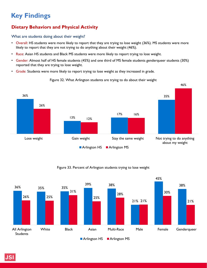# **Dietary Behaviors and Physical Activity**

What are students doing about their weight?

- Overall: HS students were more likely to report that they are trying to lose weight (36%). MS students were more likely to report that they are not trying to do anything about their weight (46%).
- Race: Asian HS students and Black MS students were more likely to report trying to lose weight.
- Gender: Almost half of HS female students (45%) and one third of MS female students genderqueer students (30%) reported that they are trying to lose weight.
- Grade: Students were more likely to report trying to lose weight as they increased in grade.



#### Figure 32. What Arlington students are trying to do about their weight

#### Figure 33. Percent of Arlington students trying to lose weight

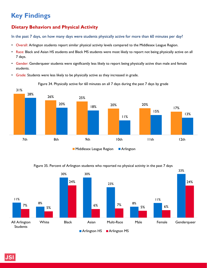### **Dietary Behaviors and Physical Activity**

In the past 7 days, on how many days were students physically active for more than 60 minutes per day?

- Overall: Arlington students report similar physical activity levels compared to the Middlesex League Region.
- Race: Black and Asian HS students and Black MS students were most likely to report not being physically active on all 7 days.
- Gender: Genderqueer students were significantly less likely to report being physically active than male and female students.
- Grade: Students were less likely to be physically active as they increased in grade.

Figure 34. Physically active for 60 minutes on all 7 days during the past 7 days by grade



Figure 35. Percent of Arlington students who reported no physical activity in the past 7 days

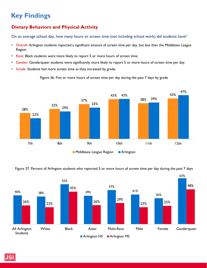### **Dietary Behaviors and Physical Activity**

On an average school day, how many hours or screen time (not including school work) did students have?

- Overall: Arlington students reported a significant amount of screen time per day, but less than the Middlesex League Region.
- Race: Black students were more likely to report 5 or more hours of screen time.
- Gender: Genderqueer students were significantly more likely to report 5 or more hours of screen time per day.
- Grade: Students had more screen time as they increased by grade.

Figure 36. Five or more hours of screen time per day during the past 7 days by grade



Figure 37. Percent of Arlington students who reported 5 or more hours of screen time per day during the past 7 days

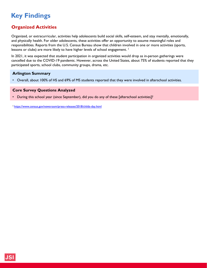### **Organized Activities**

Organized, or extracurricular, activities help adolescents build social skills, self-esteem, and stay mentally, emotionally, and physically health. For older adolescents, these activities offer an opportunity to assume meaningful roles and responsibilities. Reports from the U.S. Census Bureau show that children involved in one or more activities (sports, lessons or clubs) are more likely to have higher levels of school engagement. <sup>1</sup>

In 2021, it was expected that student participation in organized activities would drop as in-person gatherings were cancelled due to the COVID-19 pandemic. However, across the United States, about 75% of students reported that they participated sports, school clubs, community groups, drama, etc.

#### **Arlington Summary**

• Overall, about 100% of HS and 69% of MS students reported that they were involved in afterschool activities.

#### **Core Survey Questions Analyzed**

• During this school year (since September), did you do any of these [afterschool activities]?

1 <https://www.census.gov/newsroom/press-releases/2018/childs-day.html>